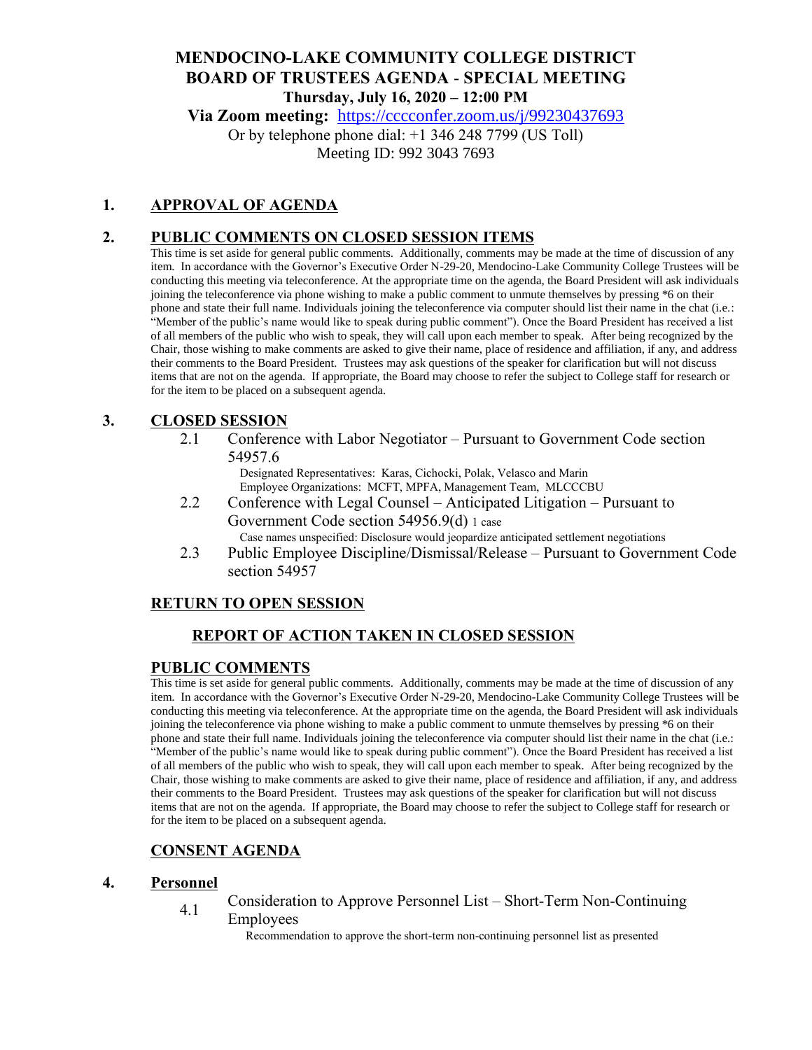# **MENDOCINO-LAKE COMMUNITY COLLEGE DISTRICT BOARD OF TRUSTEES AGENDA** - **SPECIAL MEETING Thursday, July 16, 2020 – 12:00 PM**

**Via Zoom meeting:** <https://cccconfer.zoom.us/j/99230437693>

Or by telephone phone dial: +1 346 248 7799 (US Toll) Meeting ID: 992 3043 7693

# **1. APPROVAL OF AGENDA**

# **2. PUBLIC COMMENTS ON CLOSED SESSION ITEMS**

This time is set aside for general public comments. Additionally, comments may be made at the time of discussion of any item. In accordance with the Governor's Executive Order N-29-20, Mendocino-Lake Community College Trustees will be conducting this meeting via teleconference. At the appropriate time on the agenda, the Board President will ask individuals joining the teleconference via phone wishing to make a public comment to unmute themselves by pressing \*6 on their phone and state their full name. Individuals joining the teleconference via computer should list their name in the chat (i.e.: "Member of the public's name would like to speak during public comment"). Once the Board President has received a list of all members of the public who wish to speak, they will call upon each member to speak. After being recognized by the Chair, those wishing to make comments are asked to give their name, place of residence and affiliation, if any, and address their comments to the Board President. Trustees may ask questions of the speaker for clarification but will not discuss items that are not on the agenda. If appropriate, the Board may choose to refer the subject to College staff for research or for the item to be placed on a subsequent agenda.

# **3. CLOSED SESSION**

2.1 Conference with Labor Negotiator – Pursuant to Government Code section 54957.6

Designated Representatives: Karas, Cichocki, Polak, Velasco and Marin Employee Organizations: MCFT, MPFA, Management Team, MLCCCBU

- 2.2 Conference with Legal Counsel Anticipated Litigation Pursuant to Government Code section 54956.9(d) 1 case Case names unspecified: Disclosure would jeopardize anticipated settlement negotiations
- 2.3 Public Employee Discipline/Dismissal/Release Pursuant to Government Code section 54957

# **RETURN TO OPEN SESSION**

# **REPORT OF ACTION TAKEN IN CLOSED SESSION**

#### **PUBLIC COMMENTS**

This time is set aside for general public comments. Additionally, comments may be made at the time of discussion of any item. In accordance with the Governor's Executive Order N-29-20, Mendocino-Lake Community College Trustees will be conducting this meeting via teleconference. At the appropriate time on the agenda, the Board President will ask individuals joining the teleconference via phone wishing to make a public comment to unmute themselves by pressing \*6 on their phone and state their full name. Individuals joining the teleconference via computer should list their name in the chat (i.e.: "Member of the public's name would like to speak during public comment"). Once the Board President has received a list of all members of the public who wish to speak, they will call upon each member to speak. After being recognized by the Chair, those wishing to make comments are asked to give their name, place of residence and affiliation, if any, and address their comments to the Board President. Trustees may ask questions of the speaker for clarification but will not discuss items that are not on the agenda. If appropriate, the Board may choose to refer the subject to College staff for research or for the item to be placed on a subsequent agenda.

# **CONSENT AGENDA**

#### **4. Personnel**

4.1 Consideration to Approve Personnel List – Short-Term Non-Continuing Employees

Recommendation to approve the short-term non-continuing personnel list as presented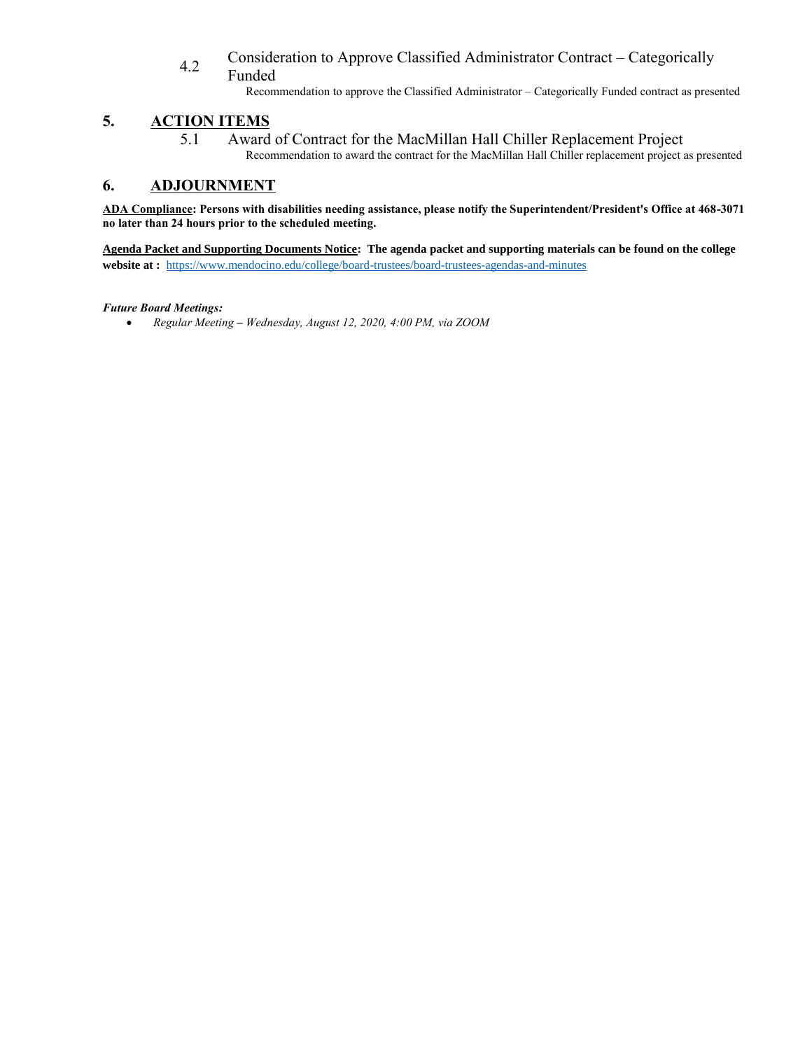#### 4.2 Consideration to Approve Classified Administrator Contract – Categorically Funded

Recommendation to approve the Classified Administrator – Categorically Funded contract as presented

# **5. ACTION ITEMS**

5.1 Award of Contract for the MacMillan Hall Chiller Replacement Project Recommendation to award the contract for the MacMillan Hall Chiller replacement project as presented

# **6. ADJOURNMENT**

**ADA Compliance: Persons with disabilities needing assistance, please notify the Superintendent/President's Office at 468-3071 no later than 24 hours prior to the scheduled meeting.** 

**Agenda Packet and Supporting Documents Notice: The agenda packet and supporting materials can be found on the college website at :** <https://www.mendocino.edu/college/board-trustees/board-trustees-agendas-and-minutes>

#### *Future Board Meetings:*

*Regular Meeting – Wednesday, August 12, 2020, 4:00 PM, via ZOOM*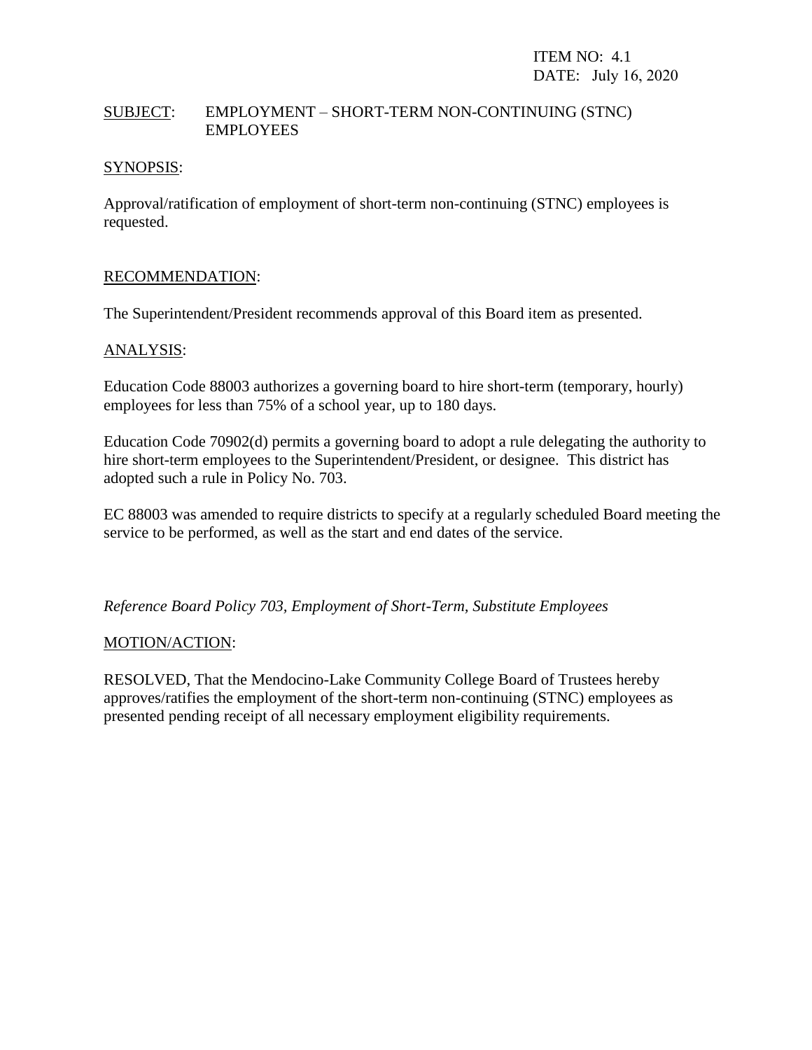# SUBJECT: EMPLOYMENT – SHORT-TERM NON-CONTINUING (STNC) EMPLOYEES

### SYNOPSIS:

Approval/ratification of employment of short-term non-continuing (STNC) employees is requested.

#### RECOMMENDATION:

The Superintendent/President recommends approval of this Board item as presented.

#### ANALYSIS:

Education Code 88003 authorizes a governing board to hire short-term (temporary, hourly) employees for less than 75% of a school year, up to 180 days.

Education Code 70902(d) permits a governing board to adopt a rule delegating the authority to hire short-term employees to the Superintendent/President, or designee. This district has adopted such a rule in Policy No. 703.

EC 88003 was amended to require districts to specify at a regularly scheduled Board meeting the service to be performed, as well as the start and end dates of the service.

*Reference Board Policy 703, Employment of Short-Term, Substitute Employees*

#### MOTION/ACTION:

RESOLVED, That the Mendocino-Lake Community College Board of Trustees hereby approves/ratifies the employment of the short-term non-continuing (STNC) employees as presented pending receipt of all necessary employment eligibility requirements.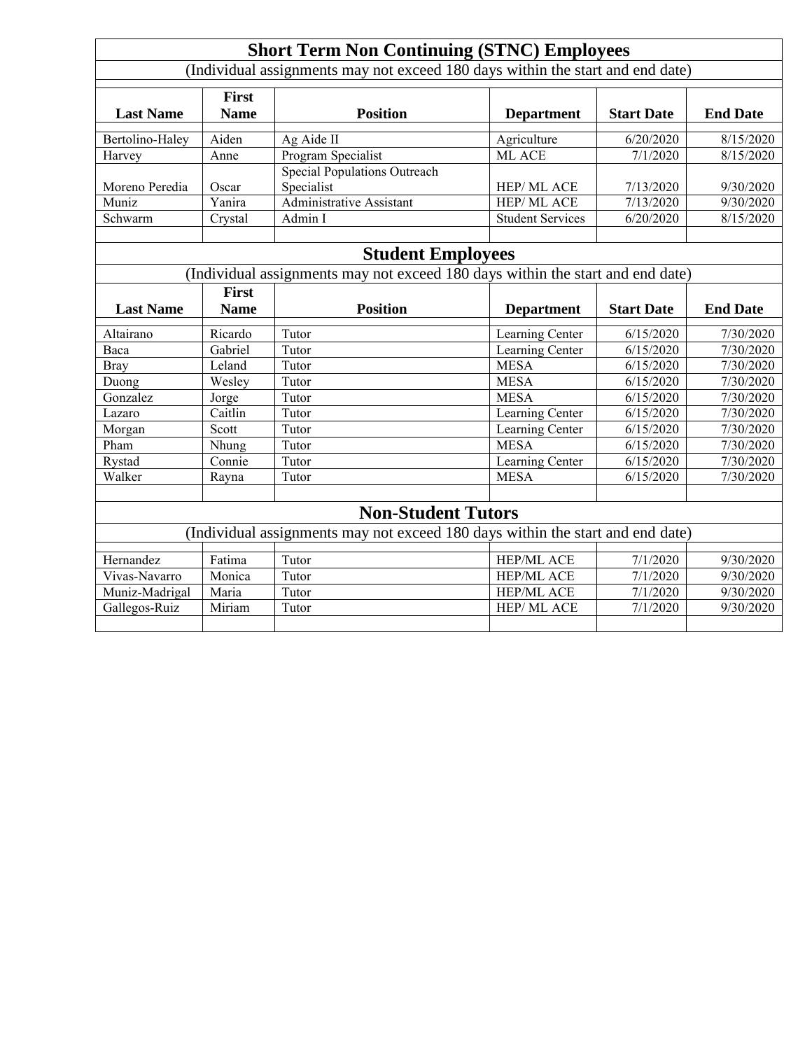| <b>Short Term Non Continuing (STNC) Employees</b>                              |                             |                                                   |                         |                   |                 |
|--------------------------------------------------------------------------------|-----------------------------|---------------------------------------------------|-------------------------|-------------------|-----------------|
| (Individual assignments may not exceed 180 days within the start and end date) |                             |                                                   |                         |                   |                 |
| <b>Last Name</b>                                                               | <b>First</b><br><b>Name</b> | <b>Position</b>                                   | <b>Department</b>       | <b>Start Date</b> | <b>End Date</b> |
| Bertolino-Haley                                                                | Aiden                       | Ag Aide II                                        | Agriculture             | 6/20/2020         | 8/15/2020       |
| Harvey                                                                         | Anne                        | <b>Program Specialist</b>                         | ML ACE                  | 7/1/2020          | 8/15/2020       |
| Moreno Peredia                                                                 | Oscar                       | <b>Special Populations Outreach</b><br>Specialist | HEP/ML ACE              | 7/13/2020         | 9/30/2020       |
| Muniz                                                                          | $\overline{Y}$ anira        | <b>Administrative Assistant</b>                   | <b>HEP/ML ACE</b>       | 7/13/2020         | 9/30/2020       |
| Schwarm                                                                        | Crystal                     | Admin I                                           | <b>Student Services</b> | 6/20/2020         | 8/15/2020       |
|                                                                                |                             |                                                   |                         |                   |                 |
| <b>Student Employees</b>                                                       |                             |                                                   |                         |                   |                 |
| (Individual assignments may not exceed 180 days within the start and end date) |                             |                                                   |                         |                   |                 |
|                                                                                | <b>First</b>                |                                                   |                         |                   |                 |
| <b>Last Name</b>                                                               | <b>Name</b>                 | <b>Position</b>                                   | <b>Department</b>       | <b>Start Date</b> | <b>End Date</b> |
| Altairano                                                                      | Ricardo                     | Tutor                                             | Learning Center         | 6/15/2020         | 7/30/2020       |
| Baca                                                                           | Gabriel                     | Tutor                                             | Learning Center         | 6/15/2020         | 7/30/2020       |
| <b>Bray</b>                                                                    | Leland                      | Tutor                                             | <b>MESA</b>             | 6/15/2020         | 7/30/2020       |
| Duong                                                                          | Wesley                      | Tutor                                             | <b>MESA</b>             | 6/15/2020         | 7/30/2020       |
| Gonzalez                                                                       | Jorge                       | Tutor                                             | <b>MESA</b>             | 6/15/2020         | 7/30/2020       |
| Lazaro                                                                         | Caitlin                     | Tutor                                             | Learning Center         | 6/15/2020         | 7/30/2020       |
| Morgan                                                                         | Scott                       | Tutor                                             | Learning Center         | 6/15/2020         | 7/30/2020       |
| Pham                                                                           | Nhung                       | Tutor                                             | <b>MESA</b>             | 6/15/2020         | 7/30/2020       |
| Rystad                                                                         | Connie                      | Tutor                                             | Learning Center         | 6/15/2020         | 7/30/2020       |
| Walker                                                                         | Rayna                       | Tutor                                             | <b>MESA</b>             | 6/15/2020         | 7/30/2020       |
|                                                                                |                             |                                                   |                         |                   |                 |
| <b>Non-Student Tutors</b>                                                      |                             |                                                   |                         |                   |                 |
| (Individual assignments may not exceed 180 days within the start and end date) |                             |                                                   |                         |                   |                 |
| Hernandez                                                                      | Fatima                      | Tutor                                             | HEP/ML ACE              | 7/1/2020          | 9/30/2020       |
| Vivas-Navarro                                                                  | Monica                      | Tutor                                             | <b>HEP/ML ACE</b>       | 7/1/2020          | 9/30/2020       |
| Muniz-Madrigal                                                                 | Maria                       | Tutor                                             | <b>HEP/ML ACE</b>       | 7/1/2020          | 9/30/2020       |
| Gallegos-Ruiz                                                                  | Miriam                      | Tutor                                             | HEP/ML ACE              | 7/1/2020          | 9/30/2020       |
|                                                                                |                             |                                                   |                         |                   |                 |
|                                                                                |                             |                                                   |                         |                   |                 |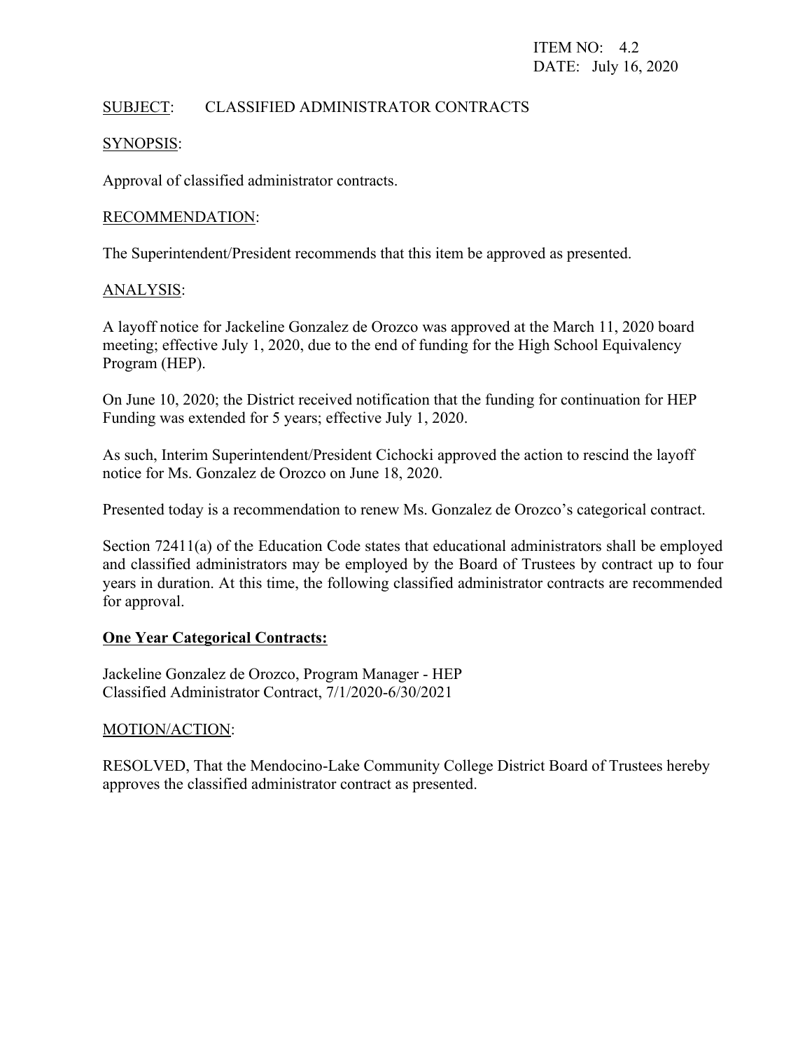# SUBJECT: CLASSIFIED ADMINISTRATOR CONTRACTS

# SYNOPSIS:

Approval of classified administrator contracts.

# RECOMMENDATION:

The Superintendent/President recommends that this item be approved as presented.

# ANALYSIS:

A layoff notice for Jackeline Gonzalez de Orozco was approved at the March 11, 2020 board meeting; effective July 1, 2020, due to the end of funding for the High School Equivalency Program (HEP).

On June 10, 2020; the District received notification that the funding for continuation for HEP Funding was extended for 5 years; effective July 1, 2020.

As such, Interim Superintendent/President Cichocki approved the action to rescind the layoff notice for Ms. Gonzalez de Orozco on June 18, 2020.

Presented today is a recommendation to renew Ms. Gonzalez de Orozco's categorical contract.

Section 72411(a) of the Education Code states that educational administrators shall be employed and classified administrators may be employed by the Board of Trustees by contract up to four years in duration. At this time, the following classified administrator contracts are recommended for approval.

# **One Year Categorical Contracts:**

Jackeline Gonzalez de Orozco, Program Manager - HEP Classified Administrator Contract, 7/1/2020-6/30/2021

# MOTION/ACTION:

RESOLVED, That the Mendocino-Lake Community College District Board of Trustees hereby approves the classified administrator contract as presented.